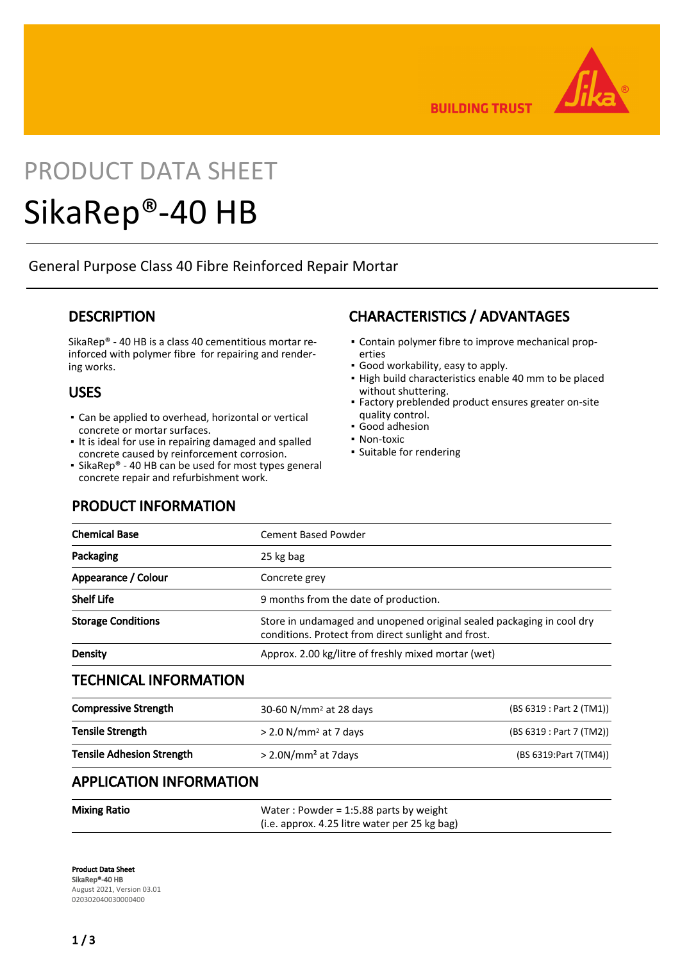

**BUILDING TRUST** 

# PRODUCT DATA SHEET

## SikaRep®-40 HB

General Purpose Class 40 Fibre Reinforced Repair Mortar

## **DESCRIPTION**

SikaRep® - 40 HB is a class 40 cementitious mortar reinforced with polymer fibre for repairing and rendering works.

## USES

- **Exambed applied to overhead, horizontal or vertical** concrete or mortar surfaces.
- It is ideal for use in repairing damaged and spalled concrete caused by reinforcement corrosion.
- SikaRep® 40 HB can be used for most types general concrete repair and refurbishment work.

## PRODUCT INFORMATION

## CHARACTERISTICS / ADVANTAGES

- Contain polymer fibre to improve mechanical prop-▪ erties
- Good workability, easy to apply.
- **.** High build characteristics enable 40 mm to be placed without shuttering.
- **Factory preblended product ensures greater on-site** quality control.
- Good adhesion
- Non-toxic
- Suitable for rendering

| <b>Chemical Base</b>             | <b>Cement Based Powder</b>                                                                                                   |                          |
|----------------------------------|------------------------------------------------------------------------------------------------------------------------------|--------------------------|
| Packaging                        | 25 kg bag                                                                                                                    |                          |
| Appearance / Colour              | Concrete grey                                                                                                                |                          |
| <b>Shelf Life</b>                | 9 months from the date of production.                                                                                        |                          |
| <b>Storage Conditions</b>        | Store in undamaged and unopened original sealed packaging in cool dry<br>conditions. Protect from direct sunlight and frost. |                          |
| <b>Density</b>                   | Approx. 2.00 kg/litre of freshly mixed mortar (wet)                                                                          |                          |
| <b>TECHNICAL INFORMATION</b>     |                                                                                                                              |                          |
| <b>Compressive Strength</b>      | 30-60 N/mm <sup>2</sup> at 28 days                                                                                           | (BS 6319 : Part 2 (TM1)) |
| Tensile Strength                 | > 2.0 N/mm <sup>2</sup> at 7 days                                                                                            | (BS 6319 : Part 7 (TM2)) |
| <b>Tensile Adhesion Strength</b> | $>$ 2.0N/mm <sup>2</sup> at 7days                                                                                            | (BS 6319: Part 7(TM4))   |
| <b>DDUCATION INFODUATION</b>     |                                                                                                                              |                          |

### APPLICATION INFORMATION

| <b>Mixing Ratio</b> | Water: Powder = $1:5.88$ parts by weight      |
|---------------------|-----------------------------------------------|
|                     | (i.e. approx. 4.25 litre water per 25 kg bag) |

Product Data Sheet SikaRep®-40 HB August 2021, Version 03.01 020302040030000400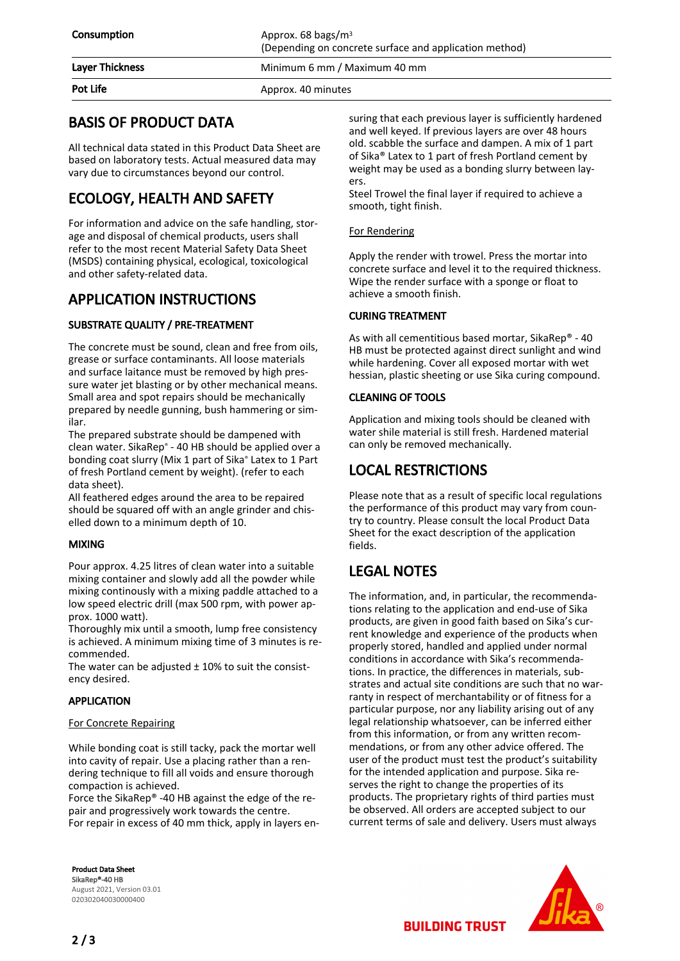## BASIS OF PRODUCT DATA

All technical data stated in this Product Data Sheet are based on laboratory tests. Actual measured data may vary due to circumstances beyond our control.

## ECOLOGY, HEALTH AND SAFETY

For information and advice on the safe handling, storage and disposal of chemical products, users shall refer to the most recent Material Safety Data Sheet (MSDS) containing physical, ecological, toxicological and other safety-related data.

## APPLICATION INSTRUCTIONS

#### SUBSTRATE QUALITY / PRE-TREATMENT

The concrete must be sound, clean and free from oils, grease or surface contaminants. All loose materials and surface laitance must be removed by high pressure water jet blasting or by other mechanical means. Small area and spot repairs should be mechanically prepared by needle gunning, bush hammering or similar.

The prepared substrate should be dampened with clean water. SikaRep® - 40 HB should be applied over a bonding coat slurry (Mix 1 part of Sika® Latex to 1 Part of fresh Portland cement by weight). (refer to each data sheet).

All feathered edges around the area to be repaired should be squared off with an angle grinder and chiselled down to a minimum depth of 10.

#### MIXING

Pour approx. 4.25 litres of clean water into a suitable mixing container and slowly add all the powder while mixing continously with a mixing paddle attached to a low speed electric drill (max 500 rpm, with power approx. 1000 watt).

Thoroughly mix until a smooth, lump free consistency is achieved. A minimum mixing time of 3 minutes is recommended.

The water can be adjusted  $\pm$  10% to suit the consistency desired.

#### APPLICATION

#### For Concrete Repairing

While bonding coat is still tacky, pack the mortar well into cavity of repair. Use a placing rather than a rendering technique to fill all voids and ensure thorough compaction is achieved.

Force the SikaRep® -40 HB against the edge of the repair and progressively work towards the centre. For repair in excess of 40 mm thick, apply in layers en-

Product Data Sheet SikaRep®-40 HB August 2021, Version 03.01 020302040030000400

suring that each previous layer is sufficiently hardened and well keyed. If previous layers are over 48 hours old. scabble the surface and dampen. A mix of 1 part of Sika® Latex to 1 part of fresh Portland cement by weight may be used as a bonding slurry between layers.

Steel Trowel the final layer if required to achieve a smooth, tight finish.

#### For Rendering

Apply the render with trowel. Press the mortar into concrete surface and level it to the required thickness. Wipe the render surface with a sponge or float to achieve a smooth finish.

#### CURING TREATMENT

As with all cementitious based mortar, SikaRep® - 40 HB must be protected against direct sunlight and wind while hardening. Cover all exposed mortar with wet hessian, plastic sheeting or use Sika curing compound.

#### CLEANING OF TOOLS

Application and mixing tools should be cleaned with water shile material is still fresh. Hardened material can only be removed mechanically.

## LOCAL RESTRICTIONS

Please note that as a result of specific local regulations the performance of this product may vary from country to country. Please consult the local Product Data Sheet for the exact description of the application fields.

## LEGAL NOTES

The information, and, in particular, the recommendations relating to the application and end-use of Sika products, are given in good faith based on Sika's current knowledge and experience of the products when properly stored, handled and applied under normal conditions in accordance with Sika's recommendations. In practice, the differences in materials, substrates and actual site conditions are such that no warranty in respect of merchantability or of fitness for a particular purpose, nor any liability arising out of any legal relationship whatsoever, can be inferred either from this information, or from any written recommendations, or from any other advice offered. The user of the product must test the product's suitability for the intended application and purpose. Sika reserves the right to change the properties of its products. The proprietary rights of third parties must be observed. All orders are accepted subject to our current terms of sale and delivery. Users must always



**BUILDING TRUST**